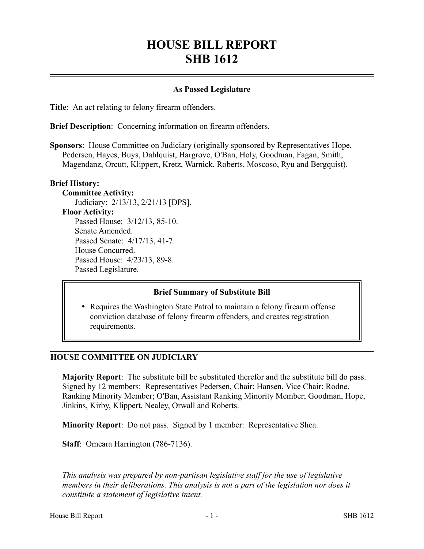# **HOUSE BILL REPORT SHB 1612**

## **As Passed Legislature**

**Title**: An act relating to felony firearm offenders.

**Brief Description**: Concerning information on firearm offenders.

**Sponsors**: House Committee on Judiciary (originally sponsored by Representatives Hope, Pedersen, Hayes, Buys, Dahlquist, Hargrove, O'Ban, Holy, Goodman, Fagan, Smith, Magendanz, Orcutt, Klippert, Kretz, Warnick, Roberts, Moscoso, Ryu and Bergquist).

#### **Brief History:**

**Committee Activity:** Judiciary: 2/13/13, 2/21/13 [DPS]. **Floor Activity:** Passed House: 3/12/13, 85-10. Senate Amended. Passed Senate: 4/17/13, 41-7. House Concurred. Passed House: 4/23/13, 89-8. Passed Legislature.

#### **Brief Summary of Substitute Bill**

• Requires the Washington State Patrol to maintain a felony firearm offense conviction database of felony firearm offenders, and creates registration requirements.

#### **HOUSE COMMITTEE ON JUDICIARY**

**Majority Report**: The substitute bill be substituted therefor and the substitute bill do pass. Signed by 12 members: Representatives Pedersen, Chair; Hansen, Vice Chair; Rodne, Ranking Minority Member; O'Ban, Assistant Ranking Minority Member; Goodman, Hope, Jinkins, Kirby, Klippert, Nealey, Orwall and Roberts.

**Minority Report**: Do not pass. Signed by 1 member: Representative Shea.

**Staff**: Omeara Harrington (786-7136).

––––––––––––––––––––––

*This analysis was prepared by non-partisan legislative staff for the use of legislative members in their deliberations. This analysis is not a part of the legislation nor does it constitute a statement of legislative intent.*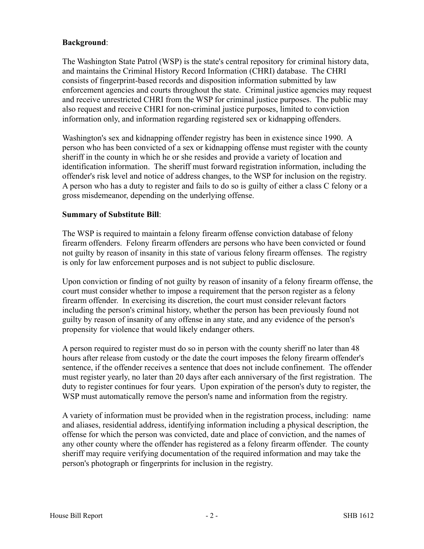## **Background**:

The Washington State Patrol (WSP) is the state's central repository for criminal history data, and maintains the Criminal History Record Information (CHRI) database. The CHRI consists of fingerprint-based records and disposition information submitted by law enforcement agencies and courts throughout the state. Criminal justice agencies may request and receive unrestricted CHRI from the WSP for criminal justice purposes. The public may also request and receive CHRI for non-criminal justice purposes, limited to conviction information only, and information regarding registered sex or kidnapping offenders.

Washington's sex and kidnapping offender registry has been in existence since 1990. A person who has been convicted of a sex or kidnapping offense must register with the county sheriff in the county in which he or she resides and provide a variety of location and identification information. The sheriff must forward registration information, including the offender's risk level and notice of address changes, to the WSP for inclusion on the registry. A person who has a duty to register and fails to do so is guilty of either a class C felony or a gross misdemeanor, depending on the underlying offense.

# **Summary of Substitute Bill**:

The WSP is required to maintain a felony firearm offense conviction database of felony firearm offenders. Felony firearm offenders are persons who have been convicted or found not guilty by reason of insanity in this state of various felony firearm offenses. The registry is only for law enforcement purposes and is not subject to public disclosure.

Upon conviction or finding of not guilty by reason of insanity of a felony firearm offense, the court must consider whether to impose a requirement that the person register as a felony firearm offender. In exercising its discretion, the court must consider relevant factors including the person's criminal history, whether the person has been previously found not guilty by reason of insanity of any offense in any state, and any evidence of the person's propensity for violence that would likely endanger others.

A person required to register must do so in person with the county sheriff no later than 48 hours after release from custody or the date the court imposes the felony firearm offender's sentence, if the offender receives a sentence that does not include confinement. The offender must register yearly, no later than 20 days after each anniversary of the first registration. The duty to register continues for four years. Upon expiration of the person's duty to register, the WSP must automatically remove the person's name and information from the registry.

A variety of information must be provided when in the registration process, including: name and aliases, residential address, identifying information including a physical description, the offense for which the person was convicted, date and place of conviction, and the names of any other county where the offender has registered as a felony firearm offender. The county sheriff may require verifying documentation of the required information and may take the person's photograph or fingerprints for inclusion in the registry.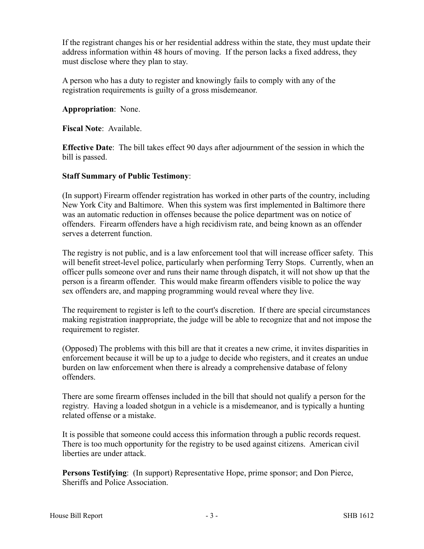If the registrant changes his or her residential address within the state, they must update their address information within 48 hours of moving. If the person lacks a fixed address, they must disclose where they plan to stay.

A person who has a duty to register and knowingly fails to comply with any of the registration requirements is guilty of a gross misdemeanor.

**Appropriation**: None.

**Fiscal Note**: Available.

**Effective Date**: The bill takes effect 90 days after adjournment of the session in which the bill is passed.

## **Staff Summary of Public Testimony**:

(In support) Firearm offender registration has worked in other parts of the country, including New York City and Baltimore. When this system was first implemented in Baltimore there was an automatic reduction in offenses because the police department was on notice of offenders. Firearm offenders have a high recidivism rate, and being known as an offender serves a deterrent function.

The registry is not public, and is a law enforcement tool that will increase officer safety. This will benefit street-level police, particularly when performing Terry Stops. Currently, when an officer pulls someone over and runs their name through dispatch, it will not show up that the person is a firearm offender. This would make firearm offenders visible to police the way sex offenders are, and mapping programming would reveal where they live.

The requirement to register is left to the court's discretion. If there are special circumstances making registration inappropriate, the judge will be able to recognize that and not impose the requirement to register.

(Opposed) The problems with this bill are that it creates a new crime, it invites disparities in enforcement because it will be up to a judge to decide who registers, and it creates an undue burden on law enforcement when there is already a comprehensive database of felony offenders.

There are some firearm offenses included in the bill that should not qualify a person for the registry. Having a loaded shotgun in a vehicle is a misdemeanor, and is typically a hunting related offense or a mistake.

It is possible that someone could access this information through a public records request. There is too much opportunity for the registry to be used against citizens. American civil liberties are under attack.

**Persons Testifying**: (In support) Representative Hope, prime sponsor; and Don Pierce, Sheriffs and Police Association.